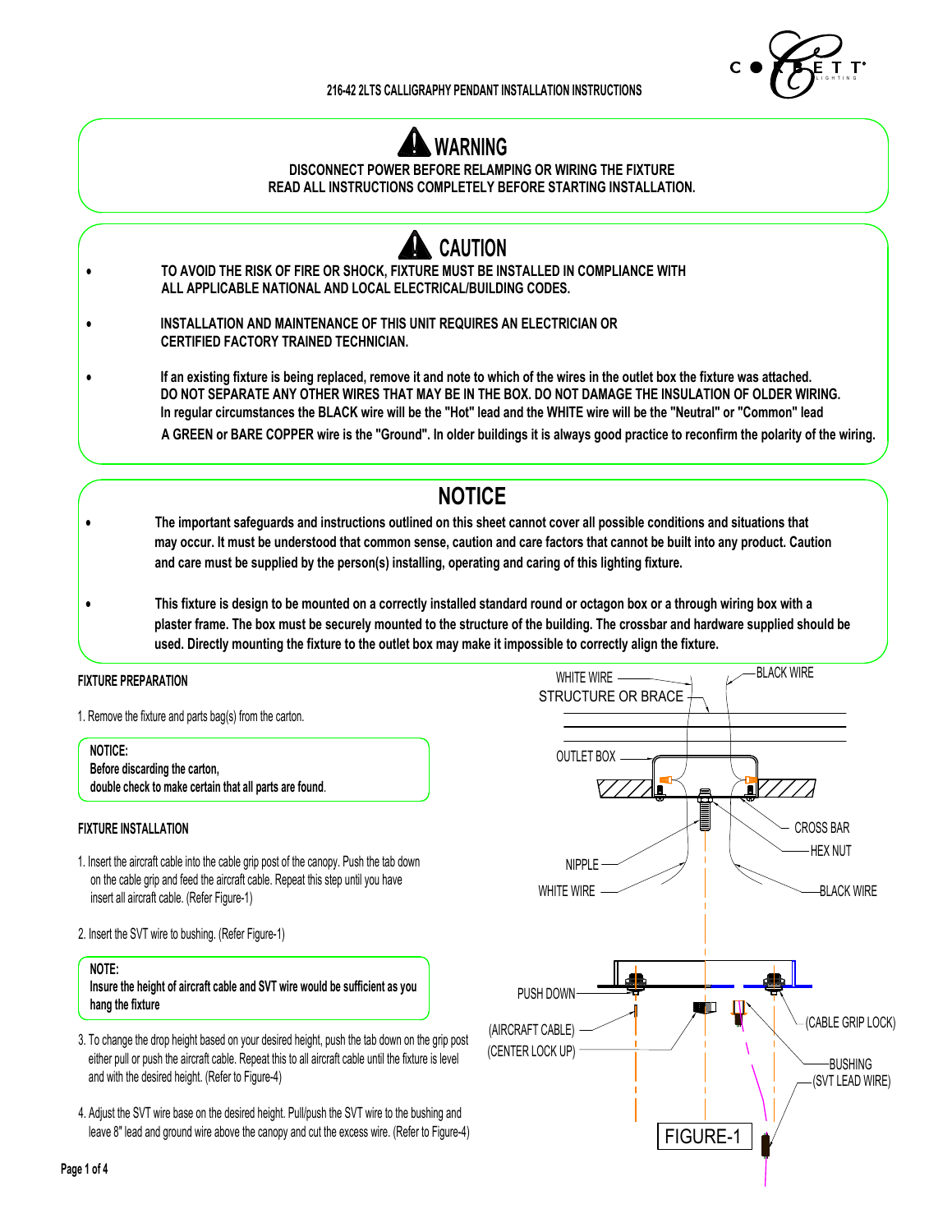



**DISCONNECT POWER BEFORE RELAMPING OR WIRING THE FIXTURE READ ALL INSTRUCTIONS COMPLETELY BEFORE STARTING INSTALLATION.**



· **INSTALLATION AND MAINTENANCE OF THIS UNIT REQUIRES AN ELECTRICIAN OR CERTIFIED FACTORY TRAINED TECHNICIAN.**

· **If an existing fixture is being replaced, remove it and note to which of the wires in the outlet box the fixture was attached. DO NOT SEPARATE ANY OTHER WIRES THAT MAY BE IN THE BOX. DO NOT DAMAGE THE INSULATION OF OLDER WIRING. In regular circumstances the BLACK wire will be the "Hot" lead and the WHITE wire will be the "Neutral" or "Common" lead A GREEN or BARE COPPER wire is the "Ground". In older buildings it is always good practice to reconfirm the polarity of the wiring.** 

# **NOTICE**

- · **The important safeguards and instructions outlined on this sheet cannot cover all possible conditions and situations that may occur. It must be understood that common sense, caution and care factors that cannot be built into any product. Caution and care must be supplied by the person(s) installing, operating and caring of this lighting fixture.**
- · **This fixture is design to be mounted on a correctly installed standard round or octagon box or a through wiring box with a plaster frame. The box must be securely mounted to the structure of the building. The crossbar and hardware supplied should be used. Directly mounting the fixture to the outlet box may make it impossible to correctly align the fixture.**

### **FIXTURE PREPARATION**

1. Remove the fixture and parts bag(s) from the carton.

**NOTICE: Before discarding the carton, double check to make certain that all parts are found**.

### **FIXTURE INSTALLATION**

- 1. Insert the aircraft cable into the cable grip post of the canopy. Push the tab down on the cable grip and feed the aircraft cable. Repeat this step until you have insert all aircraft cable. (Refer Figure-1)
- 2. Insert the SVT wire to bushing. (Refer Figure-1)

#### **NOTE:**

**Insure the height of aircraft cable and SVT wire would be sufficient as you hang the fixture**

- 3. To change the drop height based on your desired height, push the tab down on the grip post either pull or push the aircraft cable. Repeat this to all aircraft cable until the fixture is level and with the desired height. (Refer to Figure-4)
- 4. Adjust the SVT wire base on the desired height. Pull/push the SVT wire to the bushing and leave 8" lead and ground wire above the canopy and cut the excess wire. (Refer to Figure-4)

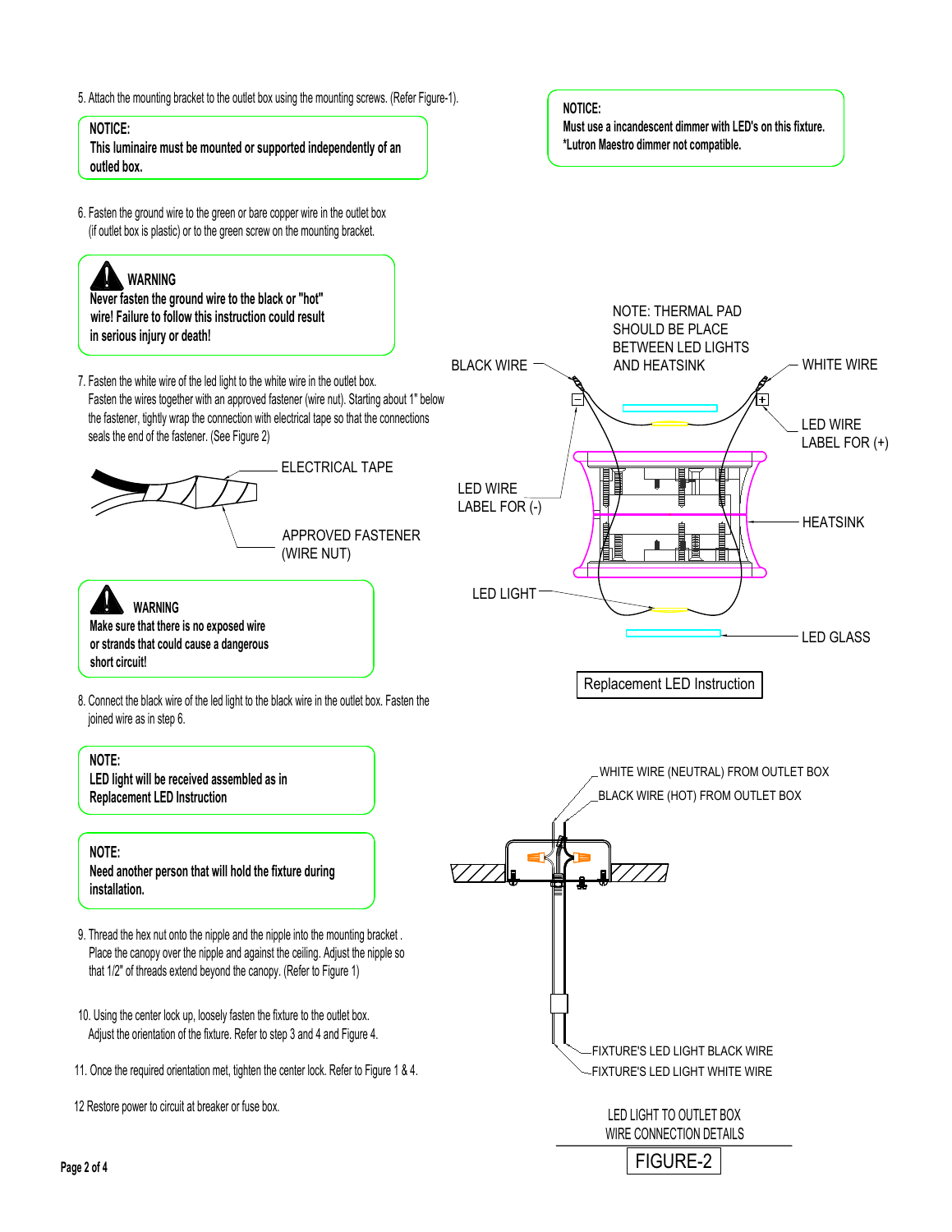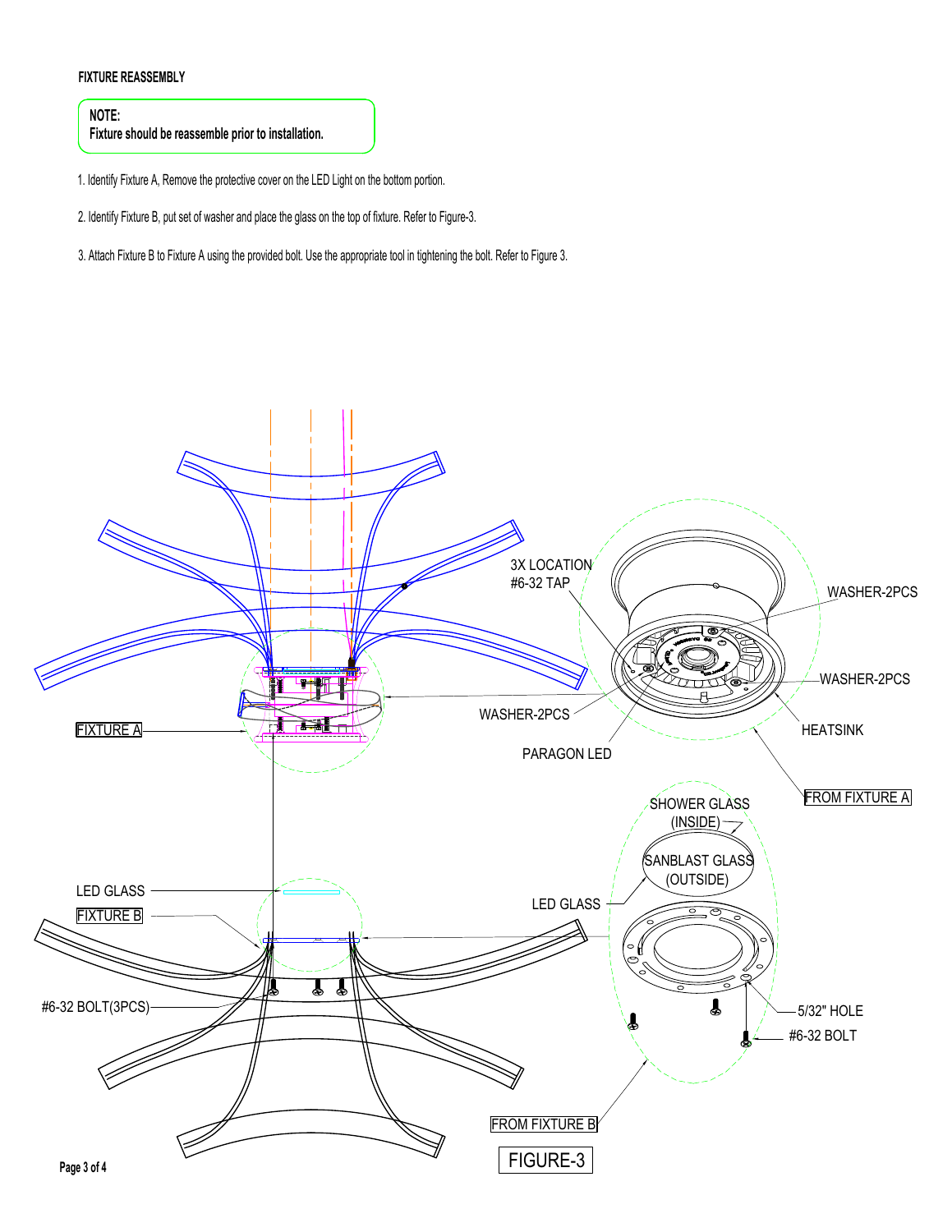## **FIXTURE REASSEMBLY**

**NOTE: Fixture should be reassemble prior to installation.**

1. Identify Fixture A, Remove the protective cover on the LED Light on the bottom portion.

2. Identify Fixture B, put set of washer and place the glass on the top of fixture. Refer to Figure-3.

3. Attach Fixture B to Fixture A using the provided bolt. Use the appropriate tool in tightening the bolt. Refer to Figure 3.